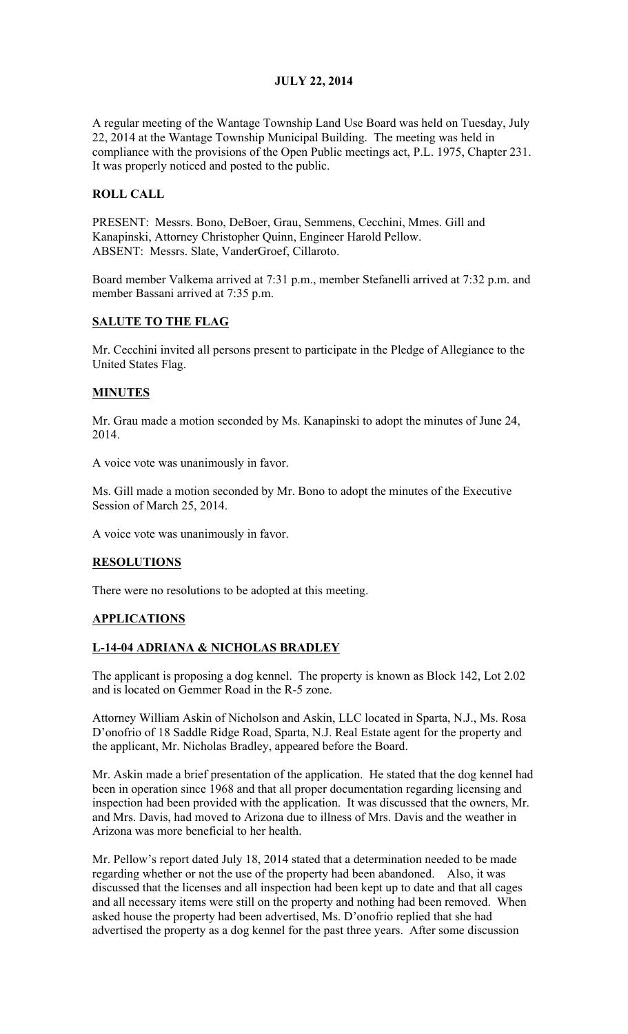### JULY 22, 2014

A regular meeting of the Wantage Township Land Use Board was held on Tuesday, July 22, 2014 at the Wantage Township Municipal Building. The meeting was held in compliance with the provisions of the Open Public meetings act, P.L. 1975, Chapter 231. It was properly noticed and posted to the public.

### ROLL CALL

PRESENT: Messrs. Bono, DeBoer, Grau, Semmens, Cecchini, Mmes. Gill and Kanapinski, Attorney Christopher Quinn, Engineer Harold Pellow. ABSENT: Messrs. Slate, VanderGroef, Cillaroto.

Board member Valkema arrived at 7:31 p.m., member Stefanelli arrived at 7:32 p.m. and member Bassani arrived at 7:35 p.m.

### SALUTE TO THE FLAG

Mr. Cecchini invited all persons present to participate in the Pledge of Allegiance to the United States Flag.

#### MINUTES

Mr. Grau made a motion seconded by Ms. Kanapinski to adopt the minutes of June 24, 2014.

A voice vote was unanimously in favor.

Ms. Gill made a motion seconded by Mr. Bono to adopt the minutes of the Executive Session of March 25, 2014.

A voice vote was unanimously in favor.

#### **RESOLUTIONS**

There were no resolutions to be adopted at this meeting.

#### APPLICATIONS

#### L-14-04 ADRIANA & NICHOLAS BRADLEY

The applicant is proposing a dog kennel. The property is known as Block 142, Lot 2.02 and is located on Gemmer Road in the R-5 zone.

Attorney William Askin of Nicholson and Askin, LLC located in Sparta, N.J., Ms. Rosa D'onofrio of 18 Saddle Ridge Road, Sparta, N.J. Real Estate agent for the property and the applicant, Mr. Nicholas Bradley, appeared before the Board.

Mr. Askin made a brief presentation of the application. He stated that the dog kennel had been in operation since 1968 and that all proper documentation regarding licensing and inspection had been provided with the application. It was discussed that the owners, Mr. and Mrs. Davis, had moved to Arizona due to illness of Mrs. Davis and the weather in Arizona was more beneficial to her health.

Mr. Pellow's report dated July 18, 2014 stated that a determination needed to be made regarding whether or not the use of the property had been abandoned. Also, it was discussed that the licenses and all inspection had been kept up to date and that all cages and all necessary items were still on the property and nothing had been removed. When asked house the property had been advertised, Ms. D'onofrio replied that she had advertised the property as a dog kennel for the past three years. After some discussion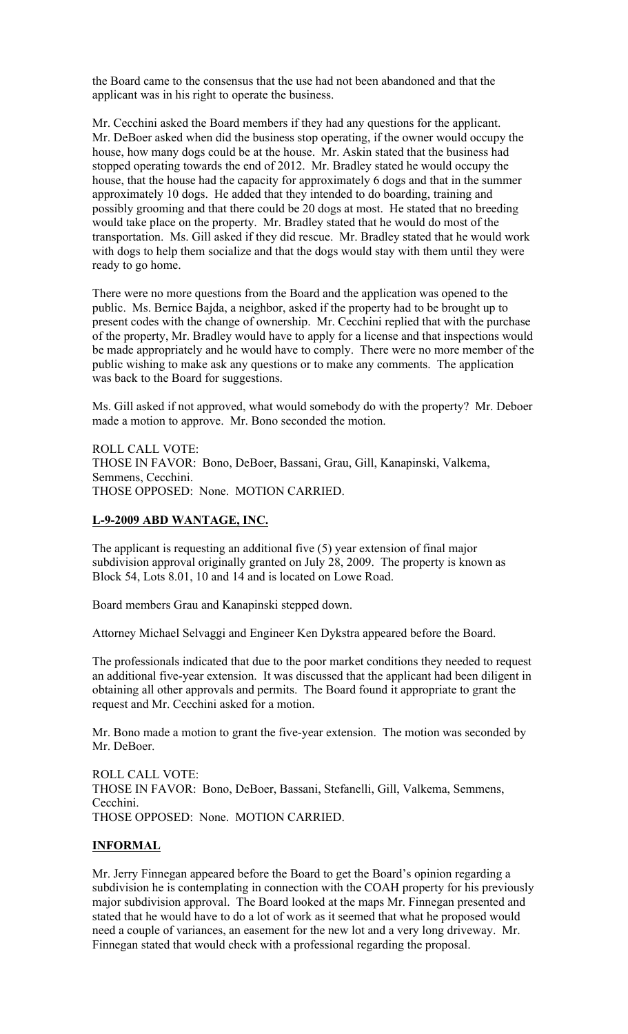the Board came to the consensus that the use had not been abandoned and that the applicant was in his right to operate the business.

Mr. Cecchini asked the Board members if they had any questions for the applicant. Mr. DeBoer asked when did the business stop operating, if the owner would occupy the house, how many dogs could be at the house. Mr. Askin stated that the business had stopped operating towards the end of 2012. Mr. Bradley stated he would occupy the house, that the house had the capacity for approximately 6 dogs and that in the summer approximately 10 dogs. He added that they intended to do boarding, training and possibly grooming and that there could be 20 dogs at most. He stated that no breeding would take place on the property. Mr. Bradley stated that he would do most of the transportation. Ms. Gill asked if they did rescue. Mr. Bradley stated that he would work with dogs to help them socialize and that the dogs would stay with them until they were ready to go home.

There were no more questions from the Board and the application was opened to the public. Ms. Bernice Bajda, a neighbor, asked if the property had to be brought up to present codes with the change of ownership. Mr. Cecchini replied that with the purchase of the property, Mr. Bradley would have to apply for a license and that inspections would be made appropriately and he would have to comply. There were no more member of the public wishing to make ask any questions or to make any comments. The application was back to the Board for suggestions.

Ms. Gill asked if not approved, what would somebody do with the property? Mr. Deboer made a motion to approve. Mr. Bono seconded the motion.

ROLL CALL VOTE: THOSE IN FAVOR: Bono, DeBoer, Bassani, Grau, Gill, Kanapinski, Valkema, Semmens, Cecchini. THOSE OPPOSED: None. MOTION CARRIED.

#### L-9-2009 ABD WANTAGE, INC.

The applicant is requesting an additional five (5) year extension of final major subdivision approval originally granted on July 28, 2009. The property is known as Block 54, Lots 8.01, 10 and 14 and is located on Lowe Road.

Board members Grau and Kanapinski stepped down.

Attorney Michael Selvaggi and Engineer Ken Dykstra appeared before the Board.

The professionals indicated that due to the poor market conditions they needed to request an additional five-year extension. It was discussed that the applicant had been diligent in obtaining all other approvals and permits. The Board found it appropriate to grant the request and Mr. Cecchini asked for a motion.

Mr. Bono made a motion to grant the five-year extension. The motion was seconded by Mr. DeBoer.

ROLL CALL VOTE: THOSE IN FAVOR: Bono, DeBoer, Bassani, Stefanelli, Gill, Valkema, Semmens, Cecchini. THOSE OPPOSED: None. MOTION CARRIED.

#### INFORMAL

Mr. Jerry Finnegan appeared before the Board to get the Board's opinion regarding a subdivision he is contemplating in connection with the COAH property for his previously major subdivision approval. The Board looked at the maps Mr. Finnegan presented and stated that he would have to do a lot of work as it seemed that what he proposed would need a couple of variances, an easement for the new lot and a very long driveway. Mr. Finnegan stated that would check with a professional regarding the proposal.